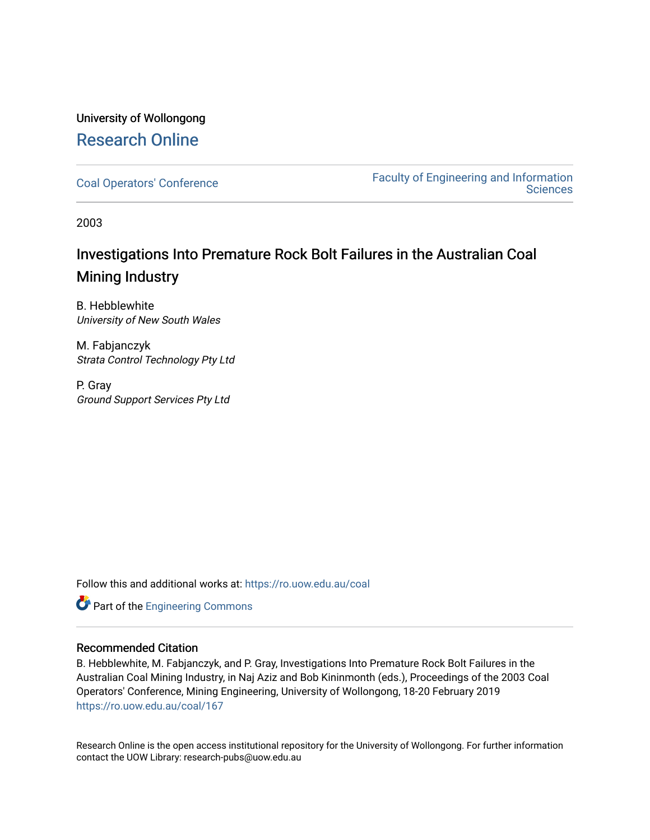# University of Wollongong [Research Online](https://ro.uow.edu.au/)

[Coal Operators' Conference](https://ro.uow.edu.au/coal) [Faculty of Engineering and Information](https://ro.uow.edu.au/eis)  **Sciences** 

2003

# Investigations Into Premature Rock Bolt Failures in the Australian Coal Mining Industry

B. Hebblewhite University of New South Wales

M. Fabjanczyk Strata Control Technology Pty Ltd

P. Gray Ground Support Services Pty Ltd

Follow this and additional works at: [https://ro.uow.edu.au/coal](https://ro.uow.edu.au/coal?utm_source=ro.uow.edu.au%2Fcoal%2F167&utm_medium=PDF&utm_campaign=PDFCoverPages) 



# Recommended Citation

B. Hebblewhite, M. Fabjanczyk, and P. Gray, Investigations Into Premature Rock Bolt Failures in the Australian Coal Mining Industry, in Naj Aziz and Bob Kininmonth (eds.), Proceedings of the 2003 Coal Operators' Conference, Mining Engineering, University of Wollongong, 18-20 February 2019 [https://ro.uow.edu.au/coal/167](https://ro.uow.edu.au/coal/167?utm_source=ro.uow.edu.au%2Fcoal%2F167&utm_medium=PDF&utm_campaign=PDFCoverPages) 

Research Online is the open access institutional repository for the University of Wollongong. For further information contact the UOW Library: research-pubs@uow.edu.au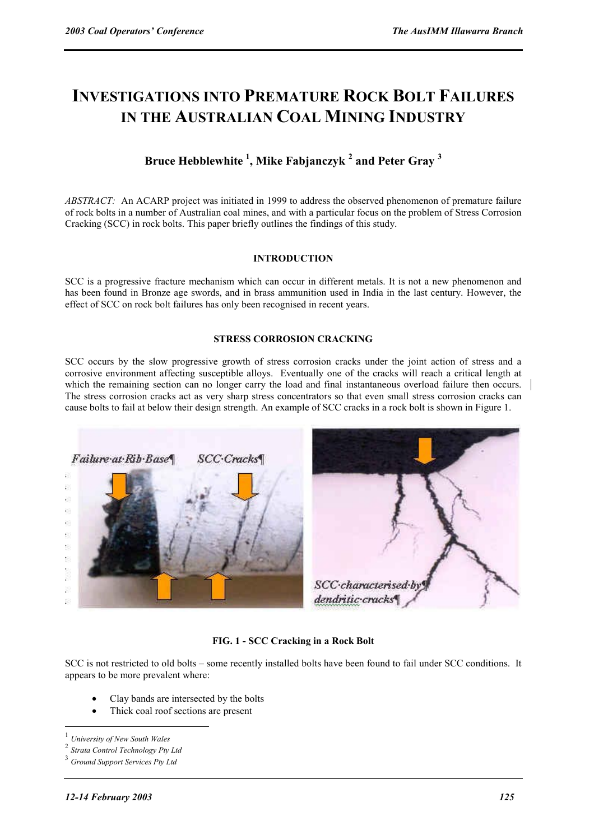# **INVESTIGATIONS INTO PREMATURE ROCK BOLT FAILURES IN THE AUSTRALIAN COAL MINING INDUSTRY**

# **Bruce Hebblewhite 1 , Mike Fabjanczyk <sup>2</sup> and Peter Gray <sup>3</sup>**

*ABSTRACT:* An ACARP project was initiated in 1999 to address the observed phenomenon of premature failure of rock bolts in a number of Australian coal mines, and with a particular focus on the problem of Stress Corrosion Cracking (SCC) in rock bolts. This paper briefly outlines the findings of this study.

### **INTRODUCTION**

SCC is a progressive fracture mechanism which can occur in different metals. It is not a new phenomenon and has been found in Bronze age swords, and in brass ammunition used in India in the last century. However, the effect of SCC on rock bolt failures has only been recognised in recent years.

#### **STRESS CORROSION CRACKING**

SCC occurs by the slow progressive growth of stress corrosion cracks under the joint action of stress and a corrosive environment affecting susceptible alloys. Eventually one of the cracks will reach a critical length at which the remaining section can no longer carry the load and final instantaneous overload failure then occurs. The stress corrosion cracks act as very sharp stress concentrators so that even small stress corrosion cracks can cause bolts to fail at below their design strength. An example of SCC cracks in a rock bolt is shown in Figure 1.



# **FIG. 1 - SCC Cracking in a Rock Bolt**

SCC is not restricted to old bolts – some recently installed bolts have been found to fail under SCC conditions. It appears to be more prevalent where:

- Clay bands are intersected by the bolts
- Thick coal roof sections are present

 $\overline{a}$ 

<sup>1</sup> *University of New South Wales* 

<sup>2</sup> *Strata Control Technology Pty Ltd* 

<sup>3</sup> *Ground Support Services Pty Ltd*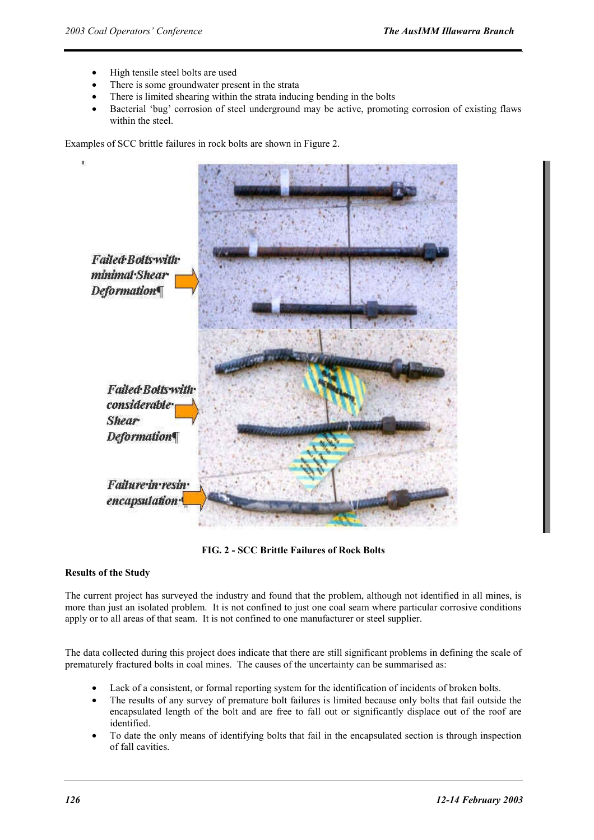- High tensile steel bolts are used
- There is some groundwater present in the strata
- There is limited shearing within the strata inducing bending in the bolts
- Bacterial 'bug' corrosion of steel underground may be active, promoting corrosion of existing flaws within the steel.

Examples of SCC brittle failures in rock bolts are shown in Figure 2.



**FIG. 2 - SCC Brittle Failures of Rock Bolts** 

# **Results of the Study**

The current project has surveyed the industry and found that the problem, although not identified in all mines, is more than just an isolated problem. It is not confined to just one coal seam where particular corrosive conditions apply or to all areas of that seam. It is not confined to one manufacturer or steel supplier.

The data collected during this project does indicate that there are still significant problems in defining the scale of prematurely fractured bolts in coal mines. The causes of the uncertainty can be summarised as:

- Lack of a consistent, or formal reporting system for the identification of incidents of broken bolts.
- The results of any survey of premature bolt failures is limited because only bolts that fail outside the encapsulated length of the bolt and are free to fall out or significantly displace out of the roof are identified.
- To date the only means of identifying bolts that fail in the encapsulated section is through inspection of fall cavities.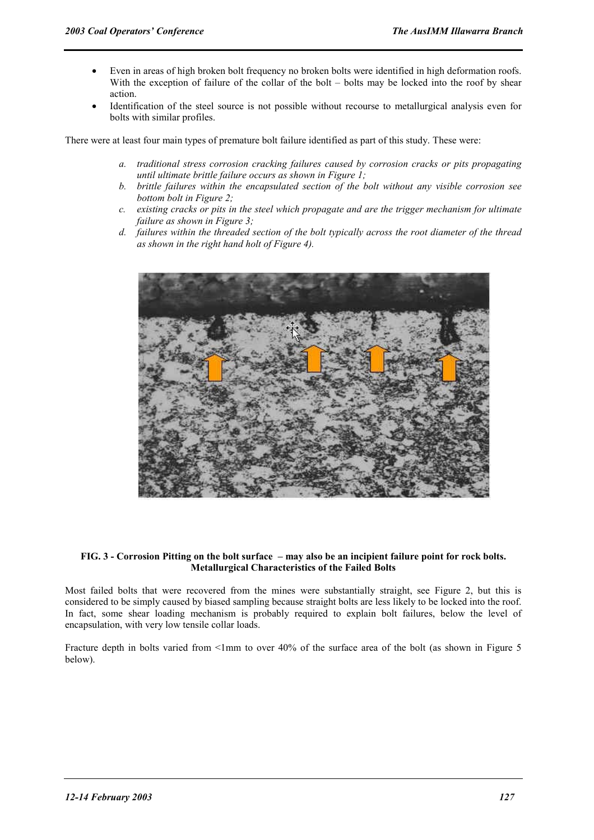- Even in areas of high broken bolt frequency no broken bolts were identified in high deformation roofs. With the exception of failure of the collar of the bolt – bolts may be locked into the roof by shear action.
- Identification of the steel source is not possible without recourse to metallurgical analysis even for bolts with similar profiles.

There were at least four main types of premature bolt failure identified as part of this study. These were:

- *a. traditional stress corrosion cracking failures caused by corrosion cracks or pits propagating until ultimate brittle failure occurs as shown in Figure 1;*
- *b. brittle failures within the encapsulated section of the bolt without any visible corrosion see bottom bolt in Figure 2;*
- *c. existing cracks or pits in the steel which propagate and are the trigger mechanism for ultimate failure as shown in Figure 3;*
- *d. failures within the threaded section of the bolt typically across the root diameter of the thread as shown in the right hand holt of Figure 4).*



#### **FIG. 3 - Corrosion Pitting on the bolt surface – may also be an incipient failure point for rock bolts. Metallurgical Characteristics of the Failed Bolts**

Most failed bolts that were recovered from the mines were substantially straight, see Figure 2, but this is considered to be simply caused by biased sampling because straight bolts are less likely to be locked into the roof. In fact, some shear loading mechanism is probably required to explain bolt failures, below the level of encapsulation, with very low tensile collar loads.

Fracture depth in bolts varied from <1mm to over 40% of the surface area of the bolt (as shown in Figure 5 below).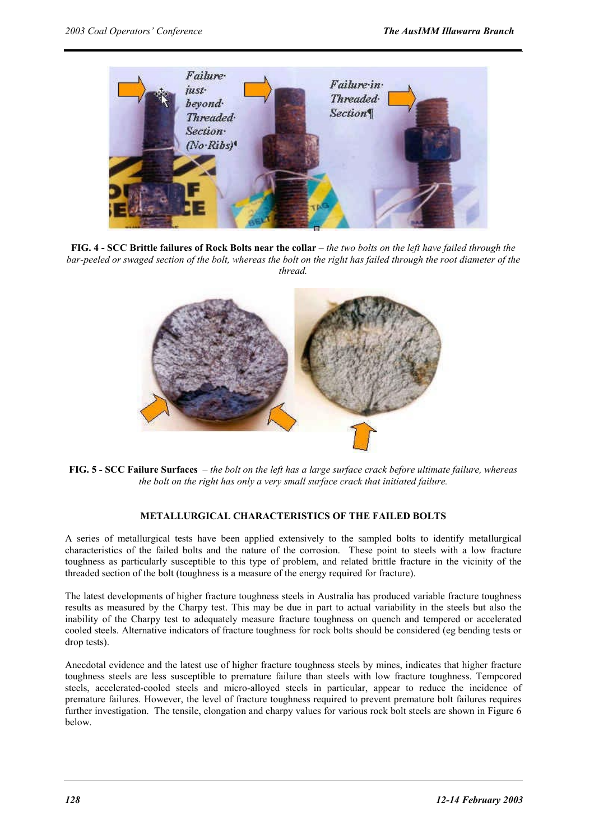![](_page_4_Picture_2.jpeg)

**FIG. 4 - SCC Brittle failures of Rock Bolts near the collar** *– the two bolts on the left have failed through the bar-peeled or swaged section of the bolt, whereas the bolt on the right has failed through the root diameter of the thread.* 

![](_page_4_Picture_4.jpeg)

**FIG. 5 - SCC Failure Surfaces** *– the bolt on the left has a large surface crack before ultimate failure, whereas the bolt on the right has only a very small surface crack that initiated failure.* 

# **METALLURGICAL CHARACTERISTICS OF THE FAILED BOLTS**

A series of metallurgical tests have been applied extensively to the sampled bolts to identify metallurgical characteristics of the failed bolts and the nature of the corrosion. These point to steels with a low fracture toughness as particularly susceptible to this type of problem, and related brittle fracture in the vicinity of the threaded section of the bolt (toughness is a measure of the energy required for fracture).

The latest developments of higher fracture toughness steels in Australia has produced variable fracture toughness results as measured by the Charpy test. This may be due in part to actual variability in the steels but also the inability of the Charpy test to adequately measure fracture toughness on quench and tempered or accelerated cooled steels. Alternative indicators of fracture toughness for rock bolts should be considered (eg bending tests or drop tests).

Anecdotal evidence and the latest use of higher fracture toughness steels by mines, indicates that higher fracture toughness steels are less susceptible to premature failure than steels with low fracture toughness. Tempcored steels, accelerated-cooled steels and micro-alloyed steels in particular, appear to reduce the incidence of premature failures. However, the level of fracture toughness required to prevent premature bolt failures requires further investigation. The tensile, elongation and charpy values for various rock bolt steels are shown in Figure 6 below.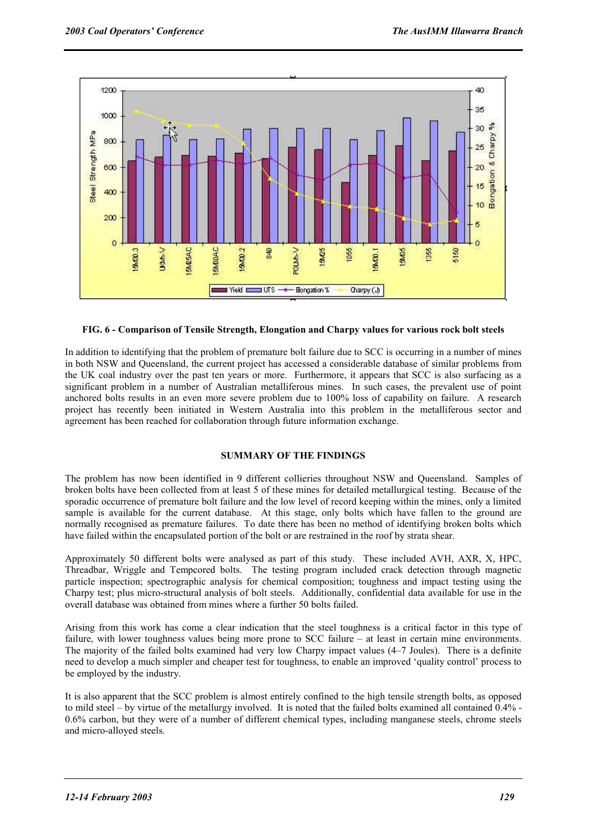![](_page_5_Figure_2.jpeg)

# **FIG. 6 - Comparison of Tensile Strength, Elongation and Charpy values for various rock bolt steels**

In addition to identifying that the problem of premature bolt failure due to SCC is occurring in a number of mines in both NSW and Queensland, the current project has accessed a considerable database of similar problems from the UK coal industry over the past ten years or more. Furthermore, it appears that SCC is also surfacing as a significant problem in a number of Australian metalliferous mines. In such cases, the prevalent use of point anchored bolts results in an even more severe problem due to 100% loss of capability on failure. A research project has recently been initiated in Western Australia into this problem in the metalliferous sector and agreement has been reached for collaboration through future information exchange.

# **SUMMARY OF THE FINDINGS**

The problem has now been identified in 9 different collieries throughout NSW and Queensland. Samples of broken bolts have been collected from at least 5 of these mines for detailed metallurgical testing. Because of the sporadic occurrence of premature bolt failure and the low level of record keeping within the mines, only a limited sample is available for the current database. At this stage, only bolts which have fallen to the ground are normally recognised as premature failures. To date there has been no method of identifying broken bolts which have failed within the encapsulated portion of the bolt or are restrained in the roof by strata shear.

Approximately 50 different bolts were analysed as part of this study. These included AVH, AXR, X, HPC, Threadbar, Wriggle and Tempcored bolts. The testing program included crack detection through magnetic particle inspection; spectrographic analysis for chemical composition; toughness and impact testing using the Charpy test; plus micro-structural analysis of bolt steels. Additionally, confidential data available for use in the overall database was obtained from mines where a further 50 bolts failed.

Arising from this work has come a clear indication that the steel toughness is a critical factor in this type of failure, with lower toughness values being more prone to SCC failure – at least in certain mine environments. The majority of the failed bolts examined had very low Charpy impact values (4–7 Joules). There is a definite need to develop a much simpler and cheaper test for toughness, to enable an improved 'quality control' process to be employed by the industry.

It is also apparent that the SCC problem is almost entirely confined to the high tensile strength bolts, as opposed to mild steel – by virtue of the metallurgy involved. It is noted that the failed bolts examined all contained 0.4% - 0.6% carbon, but they were of a number of different chemical types, including manganese steels, chrome steels and micro-alloyed steels.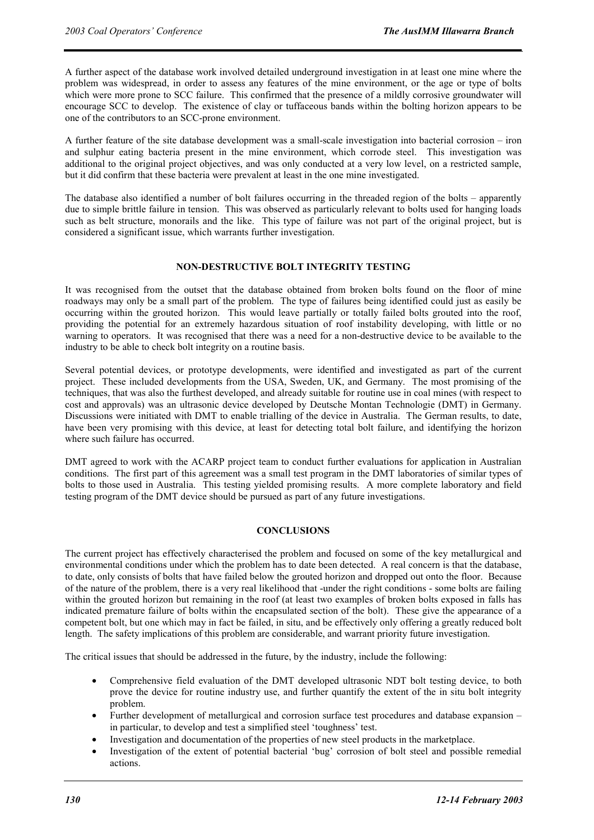A further aspect of the database work involved detailed underground investigation in at least one mine where the problem was widespread, in order to assess any features of the mine environment, or the age or type of bolts which were more prone to SCC failure. This confirmed that the presence of a mildly corrosive groundwater will encourage SCC to develop. The existence of clay or tuffaceous bands within the bolting horizon appears to be one of the contributors to an SCC-prone environment.

A further feature of the site database development was a small-scale investigation into bacterial corrosion – iron and sulphur eating bacteria present in the mine environment, which corrode steel. This investigation was additional to the original project objectives, and was only conducted at a very low level, on a restricted sample, but it did confirm that these bacteria were prevalent at least in the one mine investigated.

The database also identified a number of bolt failures occurring in the threaded region of the bolts – apparently due to simple brittle failure in tension. This was observed as particularly relevant to bolts used for hanging loads such as belt structure, monorails and the like. This type of failure was not part of the original project, but is considered a significant issue, which warrants further investigation.

### **NON-DESTRUCTIVE BOLT INTEGRITY TESTING**

It was recognised from the outset that the database obtained from broken bolts found on the floor of mine roadways may only be a small part of the problem. The type of failures being identified could just as easily be occurring within the grouted horizon. This would leave partially or totally failed bolts grouted into the roof, providing the potential for an extremely hazardous situation of roof instability developing, with little or no warning to operators. It was recognised that there was a need for a non-destructive device to be available to the industry to be able to check bolt integrity on a routine basis.

Several potential devices, or prototype developments, were identified and investigated as part of the current project. These included developments from the USA, Sweden, UK, and Germany. The most promising of the techniques, that was also the furthest developed, and already suitable for routine use in coal mines (with respect to cost and approvals) was an ultrasonic device developed by Deutsche Montan Technologie (DMT) in Germany. Discussions were initiated with DMT to enable trialling of the device in Australia. The German results, to date, have been very promising with this device, at least for detecting total bolt failure, and identifying the horizon where such failure has occurred.

DMT agreed to work with the ACARP project team to conduct further evaluations for application in Australian conditions. The first part of this agreement was a small test program in the DMT laboratories of similar types of bolts to those used in Australia. This testing yielded promising results. A more complete laboratory and field testing program of the DMT device should be pursued as part of any future investigations.

### **CONCLUSIONS**

The current project has effectively characterised the problem and focused on some of the key metallurgical and environmental conditions under which the problem has to date been detected. A real concern is that the database, to date, only consists of bolts that have failed below the grouted horizon and dropped out onto the floor. Because of the nature of the problem, there is a very real likelihood that -under the right conditions - some bolts are failing within the grouted horizon but remaining in the roof (at least two examples of broken bolts exposed in falls has indicated premature failure of bolts within the encapsulated section of the bolt). These give the appearance of a competent bolt, but one which may in fact be failed, in situ, and be effectively only offering a greatly reduced bolt length. The safety implications of this problem are considerable, and warrant priority future investigation.

The critical issues that should be addressed in the future, by the industry, include the following:

- Comprehensive field evaluation of the DMT developed ultrasonic NDT bolt testing device, to both prove the device for routine industry use, and further quantify the extent of the in situ bolt integrity problem.
- Further development of metallurgical and corrosion surface test procedures and database expansion in particular, to develop and test a simplified steel 'toughness' test.
- Investigation and documentation of the properties of new steel products in the marketplace.
- Investigation of the extent of potential bacterial 'bug' corrosion of bolt steel and possible remedial actions.